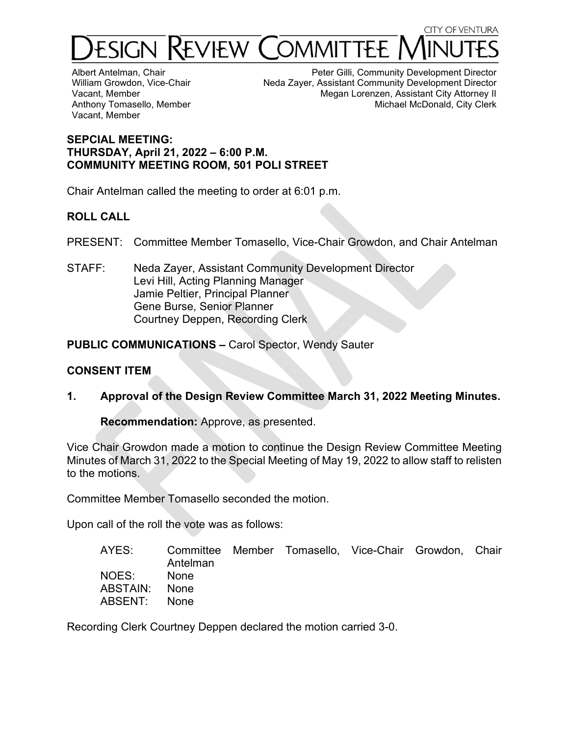

Albert Antelman, Chair William Growdon, Vice-Chair Vacant, Member Anthony Tomasello, Member Vacant, Member

Peter Gilli, Community Development Director Neda Zayer, Assistant Community Development Director Megan Lorenzen, Assistant City Attorney II Michael McDonald, City Clerk

### **SEPCIAL MEETING: THURSDAY, April 21, 2022 – 6:00 P.M. COMMUNITY MEETING ROOM, 501 POLI STREET**

Chair Antelman called the meeting to order at 6:01 p.m.

# **ROLL CALL**

PRESENT: Committee Member Tomasello, Vice-Chair Growdon, and Chair Antelman

STAFF: Neda Zayer, Assistant Community Development Director Levi Hill, Acting Planning Manager Jamie Peltier, Principal Planner Gene Burse, Senior Planner Courtney Deppen, Recording Clerk

**PUBLIC COMMUNICATIONS –** Carol Spector, Wendy Sauter

## **CONSENT ITEM**

**1. Approval of the Design Review Committee March 31, 2022 Meeting Minutes.** 

**Recommendation:** Approve, as presented.

Vice Chair Growdon made a motion to continue the Design Review Committee Meeting Minutes of March 31, 2022 to the Special Meeting of May 19, 2022 to allow staff to relisten to the motions.

Committee Member Tomasello seconded the motion.

Upon call of the roll the vote was as follows:

| AYES:         | Antelman    | Committee Member Tomasello, Vice-Chair Growdon, Chair |  |  |
|---------------|-------------|-------------------------------------------------------|--|--|
| NOES:         | <b>None</b> |                                                       |  |  |
| ABSTAIN: None |             |                                                       |  |  |
| ABSENT:       | <b>None</b> |                                                       |  |  |

Recording Clerk Courtney Deppen declared the motion carried 3-0.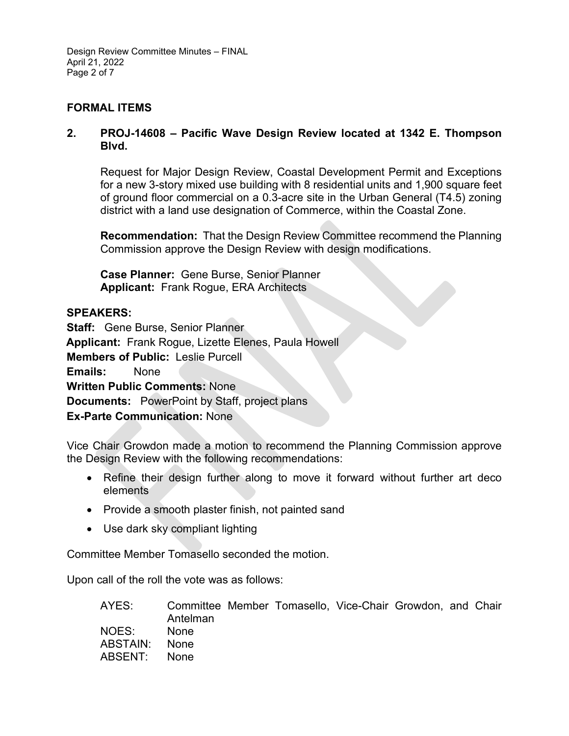Design Review Committee Minutes – FINAL April 21, 2022 Page 2 of 7

## **FORMAL ITEMS**

### **2. PROJ-14608 – Pacific Wave Design Review located at 1342 E. Thompson Blvd.**

Request for Major Design Review, Coastal Development Permit and Exceptions for a new 3-story mixed use building with 8 residential units and 1,900 square feet of ground floor commercial on a 0.3-acre site in the Urban General (T4.5) zoning district with a land use designation of Commerce, within the Coastal Zone.

**Recommendation:** That the Design Review Committee recommend the Planning Commission approve the Design Review with design modifications.

**Case Planner:** Gene Burse, Senior Planner **Applicant:** Frank Rogue, ERA Architects

### **SPEAKERS:**

**Staff:** Gene Burse, Senior Planner **Applicant:** Frank Rogue, Lizette Elenes, Paula Howell **Members of Public:** Leslie Purcell **Emails:** None **Written Public Comments:** None **Documents:** PowerPoint by Staff, project plans **Ex-Parte Communication:** None

Vice Chair Growdon made a motion to recommend the Planning Commission approve the Design Review with the following recommendations:

- Refine their design further along to move it forward without further art deco elements
- Provide a smooth plaster finish, not painted sand
- Use dark sky compliant lighting

Committee Member Tomasello seconded the motion.

Upon call of the roll the vote was as follows:

| AYES:         | Antelman | Committee Member Tomasello, Vice-Chair Growdon, and Chair |  |  |
|---------------|----------|-----------------------------------------------------------|--|--|
|               |          |                                                           |  |  |
| NOES:         | – None   |                                                           |  |  |
| ABSTAIN: None |          |                                                           |  |  |
| ABSENT: None  |          |                                                           |  |  |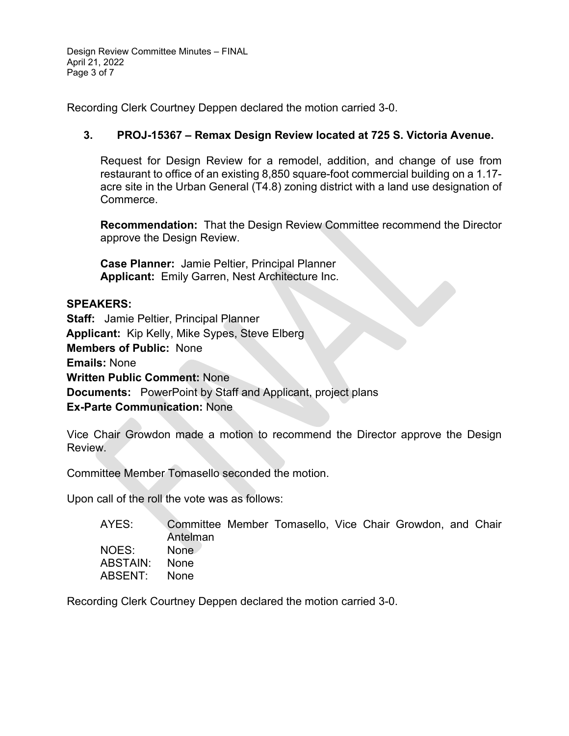Design Review Committee Minutes – FINAL April 21, 2022 Page 3 of 7

Recording Clerk Courtney Deppen declared the motion carried 3-0.

# **3. PROJ-15367 – Remax Design Review located at 725 S. Victoria Avenue.**

Request for Design Review for a remodel, addition, and change of use from restaurant to office of an existing 8,850 square-foot commercial building on a 1.17 acre site in the Urban General (T4.8) zoning district with a land use designation of Commerce.

**Recommendation:** That the Design Review Committee recommend the Director approve the Design Review.

**Case Planner:** Jamie Peltier, Principal Planner **Applicant:** Emily Garren, Nest Architecture Inc.

### **SPEAKERS:**

**Staff:** Jamie Peltier, Principal Planner **Applicant:** Kip Kelly, Mike Sypes, Steve Elberg **Members of Public:** None **Emails:** None **Written Public Comment:** None **Documents:** PowerPoint by Staff and Applicant, project plans **Ex-Parte Communication:** None

Vice Chair Growdon made a motion to recommend the Director approve the Design Review.

Committee Member Tomasello seconded the motion.

Upon call of the roll the vote was as follows:

| AYES:    | Committee Member Tomasello, Vice Chair Growdon, and Chair<br>Antelman |  |  |  |  |
|----------|-----------------------------------------------------------------------|--|--|--|--|
|          |                                                                       |  |  |  |  |
| NOES:    | None.                                                                 |  |  |  |  |
| ABSTAIN: | <b>None</b>                                                           |  |  |  |  |
| ABSENT:  | <b>None</b>                                                           |  |  |  |  |

Recording Clerk Courtney Deppen declared the motion carried 3-0.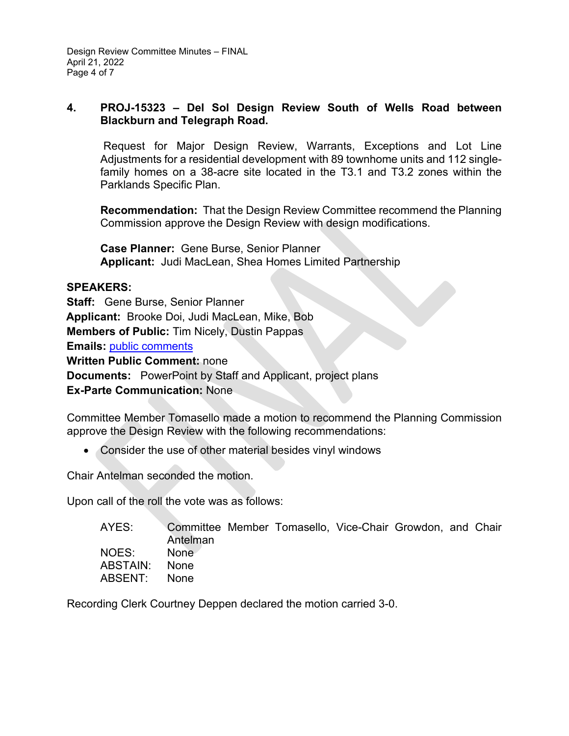Design Review Committee Minutes – FINAL April 21, 2022 Page 4 of 7

### **4. PROJ-15323 – Del Sol Design Review South of Wells Road between Blackburn and Telegraph Road.**

Request for Major Design Review, Warrants, Exceptions and Lot Line Adjustments for a residential development with 89 townhome units and 112 singlefamily homes on a 38-acre site located in the T3.1 and T3.2 zones within the Parklands Specific Plan.

**Recommendation:** That the Design Review Committee recommend the Planning Commission approve the Design Review with design modifications.

**Case Planner:** Gene Burse, Senior Planner **Applicant:** Judi MacLean, Shea Homes Limited Partnership

# **SPEAKERS:**

**Staff:** Gene Burse, Senior Planner **Applicant:** Brooke Doi, Judi MacLean, Mike, Bob **Members of Public:** Tim Nicely, Dustin Pappas **Emails:** [public comments](https://www.cityofventura.ca.gov/DocumentCenter/View/31488/DRC-Supplimental-Packet-042122---Agenda-Item-4) **Written Public Comment:** none **Documents:** PowerPoint by Staff and Applicant, project plans **Ex-Parte Communication:** None

Committee Member Tomasello made a motion to recommend the Planning Commission approve the Design Review with the following recommendations:

• Consider the use of other material besides vinyl windows

Chair Antelman seconded the motion.

Upon call of the roll the vote was as follows:

| AYES:         | Committee Member Tomasello, Vice-Chair Growdon, and Chair<br>Antelman |  |  |  |
|---------------|-----------------------------------------------------------------------|--|--|--|
| NOES:         | None                                                                  |  |  |  |
| ABSTAIN: None |                                                                       |  |  |  |
| ABSENT:       | – None                                                                |  |  |  |

Recording Clerk Courtney Deppen declared the motion carried 3-0.